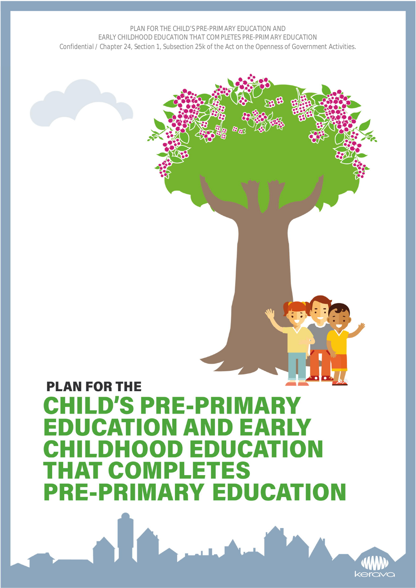# **PLAN FOR THE CHILD'S PRE-PRIMARY EDUCATION AND EARLY CHILDHOOD EDUCATION THAT COMPLETES PRE-PRIMARY EDUCATION**

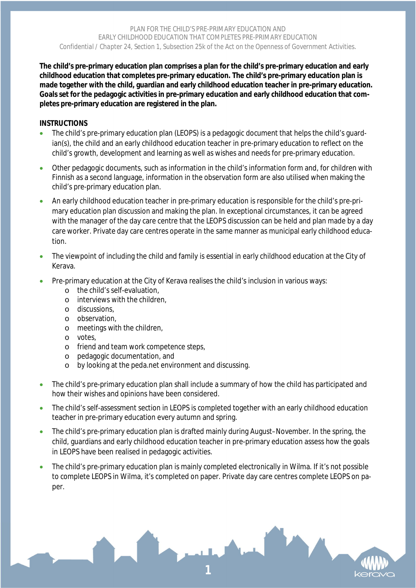**The child's pre-primary education plan comprises a plan for the child's pre-primary education and early childhood education that completes pre-primary education. The child's pre-primary education plan is made together with the child, guardian and early childhood education teacher in pre-primary education. Goals set for the pedagogic activities in pre-primary education and early childhood education that completes pre-primary education are registered in the plan.**

#### **INSTRUCTIONS**

- The child's pre-primary education plan (LEOPS) is a pedagogic document that helps the child's guardian(s), the child and an early childhood education teacher in pre-primary education to reflect on the child's growth, development and learning as well as wishes and needs for pre-primary education.
- Other pedagogic documents, such as information in the child's information form and, for children with Finnish as a second language, information in the observation form are also utilised when making the child's pre-primary education plan.
- An early childhood education teacher in pre-primary education is responsible for the child's pre-primary education plan discussion and making the plan. In exceptional circumstances, it can be agreed with the manager of the day care centre that the LEOPS discussion can be held and plan made by a day care worker. Private day care centres operate in the same manner as municipal early childhood education.
- The viewpoint of including the child and family is essential in early childhood education at the City of Kerava.
- Pre-primary education at the City of Kerava realises the child's inclusion in various ways:
	- o the child's self-evaluation,
	- o interviews with the children,
	- o discussions,
	- o observation,
	- o meetings with the children,
	- o votes,
	- o friend and team work competence steps,
	- o pedagogic documentation, and
	- o by looking at the peda.net environment and discussing.
- The child's pre-primary education plan shall include a summary of how the child has participated and how their wishes and opinions have been considered.
- The child's self-assessment section in LEOPS is completed together with an early childhood education teacher in pre-primary education every autumn and spring.
- The child's pre-primary education plan is drafted mainly during August–November. In the spring, the child, guardians and early childhood education teacher in pre-primary education assess how the goals in LEOPS have been realised in pedagogic activities.
- The child's pre-primary education plan is mainly completed electronically in Wilma. If it's not possible to complete LEOPS in Wilma, it's completed on paper. Private day care centres complete LEOPS on paper.

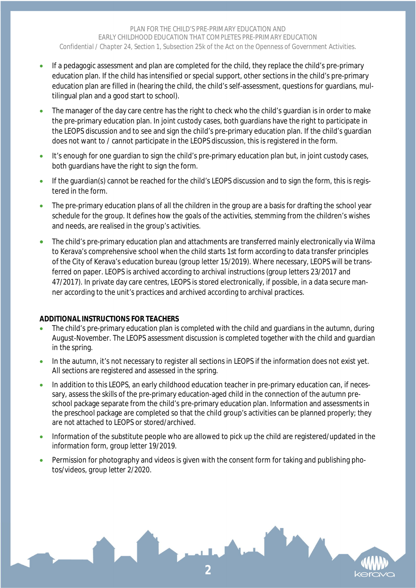- If a pedagogic assessment and plan are completed for the child, they replace the child's pre-primary education plan. If the child has intensified or special support, other sections in the child's pre-primary education plan are filled in (hearing the child, the child's self-assessment, questions for quardians, multilingual plan and a good start to school).
- The manager of the day care centre has the right to check who the child's guardian is in order to make the pre-primary education plan. In joint custody cases, both guardians have the right to participate in the LEOPS discussion and to see and sign the child's pre-primary education plan. If the child's guardian does not want to / cannot participate in the LEOPS discussion, this is registered in the form.
- It's enough for one guardian to sign the child's pre-primary education plan but, in joint custody cases, both guardians have the right to sign the form.
- If the guardian(s) cannot be reached for the child's LEOPS discussion and to sign the form, this is registered in the form.
- The pre-primary education plans of all the children in the group are a basis for drafting the school year schedule for the group. It defines how the goals of the activities, stemming from the children's wishes and needs, are realised in the group's activities.
- The child's pre-primary education plan and attachments are transferred mainly electronically via Wilma to Kerava's comprehensive school when the child starts 1st form according to data transfer principles of the City of Kerava's education bureau (group letter 15/2019). Where necessary, LEOPS will be transferred on paper. LEOPS is archived according to archival instructions (group letters 23/2017 and 47/2017). In private day care centres, LEOPS is stored electronically, if possible, in a data secure manner according to the unit's practices and archived according to archival practices.

#### **ADDITIONAL INSTRUCTIONS FOR TEACHERS**

- The child's pre-primary education plan is completed with the child and guardians in the autumn, during August-November. The LEOPS assessment discussion is completed together with the child and guardian in the spring.
- In the autumn, it's not necessary to register all sections in LEOPS if the information does not exist yet. All sections are registered and assessed in the spring.
- In addition to this LEOPS, an early childhood education teacher in pre-primary education can, if necessary, assess the skills of the pre-primary education-aged child in the connection of the autumn preschool package separate from the child's pre-primary education plan. Information and assessments in the preschool package are completed so that the child group's activities can be planned properly; they are not attached to LEOPS or stored/archived.
- Information of the substitute people who are allowed to pick up the child are registered/updated in the information form, *group letter 19/2019*.
- Permission for photography and videos is given with the consent form for taking and publishing photos/videos, *group letter 2/2020*.

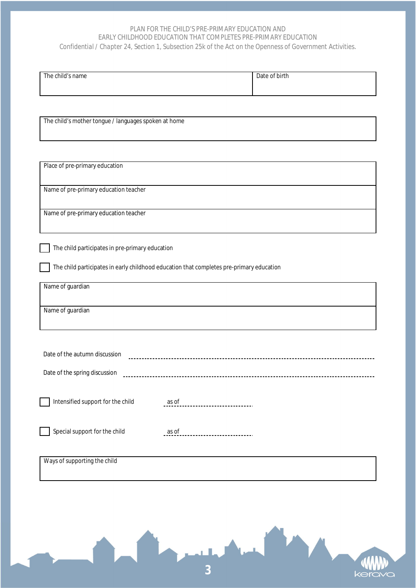#### *PLAN FOR THE CHILD'S PRE-PRIMARY EDUCATION AND EARLY CHILDHOOD EDUCATION THAT COMPLETES PRE-PRIMARY EDUCATION*

*Confidential / Chapter 24, Section 1, Subsection 25k of the Act on the Openness of Government Activities.*

| The child's name | Date of birth |
|------------------|---------------|
|                  |               |
|                  |               |
|                  |               |
|                  |               |

The child's mother tongue / languages spoken at home

| Place of pre-primary education                                                           |
|------------------------------------------------------------------------------------------|
| Name of pre-primary education teacher                                                    |
|                                                                                          |
| Name of pre-primary education teacher                                                    |
|                                                                                          |
| The child participates in pre-primary education                                          |
| The child participates in early childhood education that completes pre-primary education |
| Name of guardian                                                                         |
| Name of guardian                                                                         |
|                                                                                          |
|                                                                                          |
| Date of the autumn discussion                                                            |
| Date of the spring discussion                                                            |
|                                                                                          |
| Intensified support for the child<br>as of                                               |
|                                                                                          |
| Special support for the child<br>as of                                                   |
|                                                                                          |
| Ways of supporting the child                                                             |

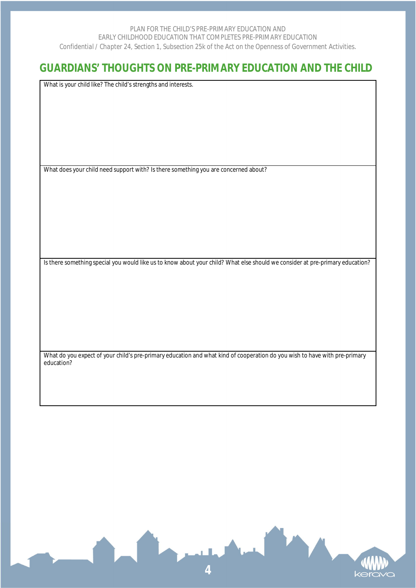# **GUARDIANS' THOUGHTS ON PRE-PRIMARY EDUCATION AND THE CHILD**

What is your child like? The child's strengths and interests.

What does your child need support with? Is there something you are concerned about?

Is there something special you would like us to know about your child? What else should we consider at pre-primary education?

What do you expect of your child's pre-primary education and what kind of cooperation do you wish to have with pre-primary education?

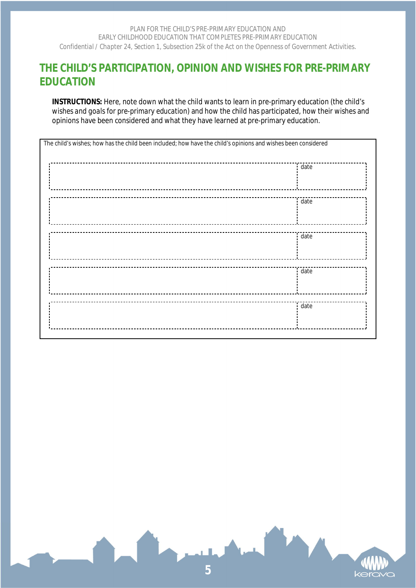# **THE CHILD'S PARTICIPATION, OPINION AND WISHES FOR PRE-PRIMARY EDUCATION**

**INSTRUCTIONS:** Here, note down what the child wants to learn in pre-primary education (*the child's wishes and goals for pre-primary education*) and how the child has participated, how their wishes and opinions have been considered and what they have learned at pre-primary education.

| The child's wishes; how has the child been included; how have the child's opinions and wishes been considered |      |  |
|---------------------------------------------------------------------------------------------------------------|------|--|
|                                                                                                               | date |  |
|                                                                                                               |      |  |
|                                                                                                               | date |  |
|                                                                                                               |      |  |
|                                                                                                               | date |  |
|                                                                                                               |      |  |
|                                                                                                               | date |  |
|                                                                                                               |      |  |
|                                                                                                               | date |  |
|                                                                                                               |      |  |

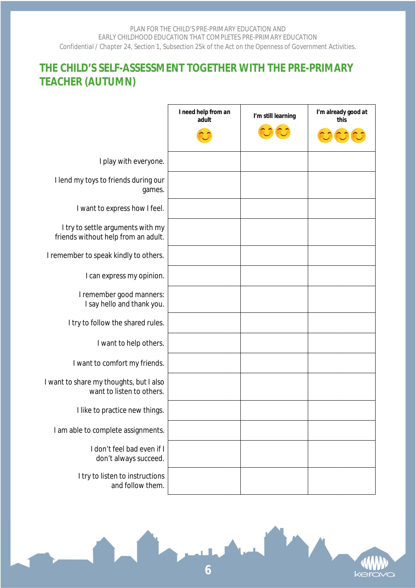# **THE CHILD'S SELF-ASSESSMENT TOGETHER WITH THE PRE-PRIMARY TEACHER (AUTUMN)**

|                                                                          | I need help from an<br>adult | I'm still learning | I'm already good at<br>this |
|--------------------------------------------------------------------------|------------------------------|--------------------|-----------------------------|
|                                                                          |                              |                    |                             |
| I play with everyone.                                                    |                              |                    |                             |
| I lend my toys to friends during our<br>games.                           |                              |                    |                             |
| I want to express how I feel.                                            |                              |                    |                             |
| I try to settle arguments with my<br>friends without help from an adult. |                              |                    |                             |
| I remember to speak kindly to others.                                    |                              |                    |                             |
| I can express my opinion.                                                |                              |                    |                             |
| I remember good manners:<br>I say hello and thank you.                   |                              |                    |                             |
| I try to follow the shared rules.                                        |                              |                    |                             |
| I want to help others.                                                   |                              |                    |                             |
| I want to comfort my friends.                                            |                              |                    |                             |
| I want to share my thoughts, but I also<br>want to listen to others.     |                              |                    |                             |
| I like to practice new things.                                           |                              |                    |                             |
| I am able to complete assignments.                                       |                              |                    |                             |
| I don't feel bad even if I<br>don't always succeed.                      |                              |                    |                             |
| I try to listen to instructions<br>and follow them.                      |                              |                    |                             |

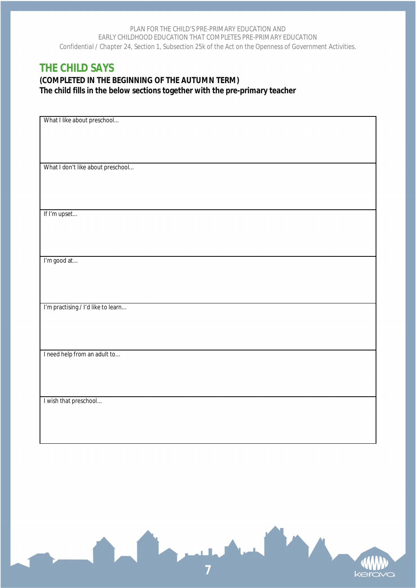# **THE CHILD SAYS**

**(COMPLETED IN THE BEGINNING OF THE AUTUMN TERM) The child fills in the below sections together with the pre-primary teacher**

| What I like about preschool        |
|------------------------------------|
|                                    |
|                                    |
|                                    |
|                                    |
|                                    |
|                                    |
| What I don't like about preschool  |
|                                    |
|                                    |
|                                    |
|                                    |
|                                    |
|                                    |
| If I'm upset                       |
|                                    |
|                                    |
|                                    |
|                                    |
|                                    |
|                                    |
|                                    |
| I'm good at                        |
|                                    |
|                                    |
|                                    |
|                                    |
|                                    |
|                                    |
| I'm practising / I'd like to learn |
|                                    |
|                                    |
|                                    |
|                                    |
|                                    |
|                                    |
| I need help from an adult to       |
|                                    |
|                                    |
|                                    |
|                                    |
|                                    |
|                                    |
|                                    |
| I wish that preschool              |
|                                    |
|                                    |
|                                    |
|                                    |
|                                    |
|                                    |

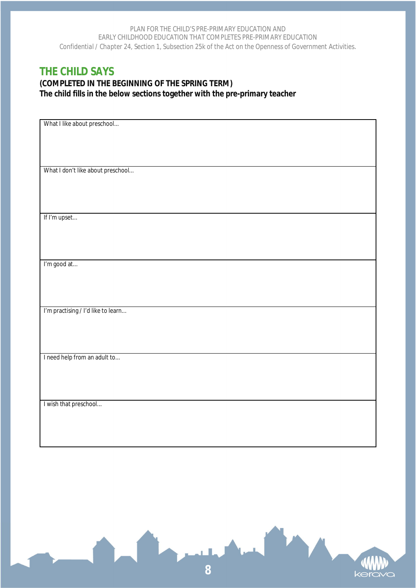# **THE CHILD SAYS**

**(COMPLETED IN THE BEGINNING OF THE SPRING TERM) The child fills in the below sections together with the pre-primary teacher**

| What I like about preschool        |
|------------------------------------|
|                                    |
|                                    |
|                                    |
|                                    |
|                                    |
|                                    |
| What I don't like about preschool  |
|                                    |
|                                    |
|                                    |
|                                    |
|                                    |
| If I'm upset                       |
|                                    |
|                                    |
|                                    |
|                                    |
|                                    |
| I'm good at                        |
|                                    |
|                                    |
|                                    |
|                                    |
|                                    |
| I'm practising / I'd like to learn |
|                                    |
|                                    |
|                                    |
|                                    |
|                                    |
|                                    |
| I need help from an adult to       |
|                                    |
|                                    |
|                                    |
|                                    |
|                                    |
| I wish that preschool              |
|                                    |
|                                    |
|                                    |
|                                    |
|                                    |

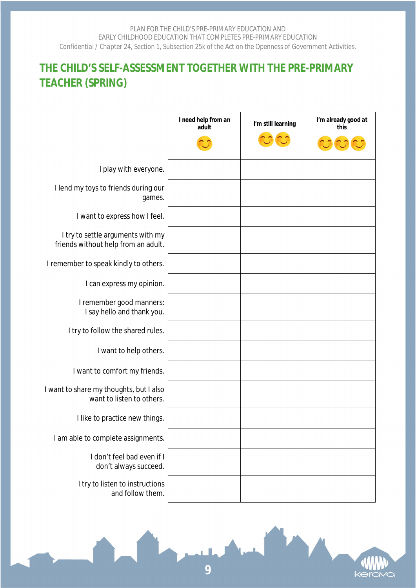# **THE CHILD'S SELF-ASSESSMENT TOGETHER WITH THE PRE-PRIMARY TEACHER (SPRING)**

|                                                                          | I need help from an<br>adult | I'm still learning | I'm already good at<br>this |
|--------------------------------------------------------------------------|------------------------------|--------------------|-----------------------------|
|                                                                          |                              |                    |                             |
| I play with everyone.                                                    |                              |                    |                             |
| I lend my toys to friends during our<br>games.                           |                              |                    |                             |
| I want to express how I feel.                                            |                              |                    |                             |
| I try to settle arguments with my<br>friends without help from an adult. |                              |                    |                             |
| I remember to speak kindly to others.                                    |                              |                    |                             |
| I can express my opinion.                                                |                              |                    |                             |
| I remember good manners:<br>I say hello and thank you.                   |                              |                    |                             |
| I try to follow the shared rules.                                        |                              |                    |                             |
| I want to help others.                                                   |                              |                    |                             |
| I want to comfort my friends.                                            |                              |                    |                             |
| I want to share my thoughts, but I also<br>want to listen to others.     |                              |                    |                             |
| I like to practice new things.                                           |                              |                    |                             |
| I am able to complete assignments.                                       |                              |                    |                             |
| I don't feel bad even if I<br>don't always succeed.                      |                              |                    |                             |
| I try to listen to instructions<br>and follow them.                      |                              |                    |                             |



**9**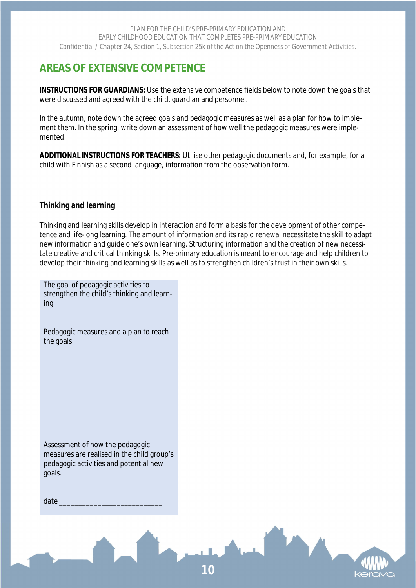# **AREAS OF EXTENSIVE COMPETENCE**

**INSTRUCTIONS FOR GUARDIANS:** Use the extensive competence fields below to note down the goals that were discussed and agreed with the child, guardian and personnel.

In the autumn, note down the agreed goals and pedagogic measures as well as a plan for how to implement them. In the spring, write down an assessment of how well the pedagogic measures were implemented.

**ADDITIONAL INSTRUCTIONS FOR TEACHERS:** Utilise other pedagogic documents and, for example, for a child with Finnish as a second language, information from the observation form.

# **Thinking and learning**

Thinking and learning skills develop in interaction and form a basis for the development of other competence and life-long learning. The amount of information and its rapid renewal necessitate the skill to adapt new information and guide one's own learning. Structuring information and the creation of new necessitate creative and critical thinking skills. Pre-primary education is meant to encourage and help children to develop their thinking and learning skills as well as to strengthen children's trust in their own skills.

| The goal of pedagogic activities to<br>strengthen the child's thinking and learn-<br>ing                                          |  |
|-----------------------------------------------------------------------------------------------------------------------------------|--|
| Pedagogic measures and a plan to reach<br>the goals                                                                               |  |
| Assessment of how the pedagogic<br>measures are realised in the child group's<br>pedagogic activities and potential new<br>goals. |  |
| date                                                                                                                              |  |

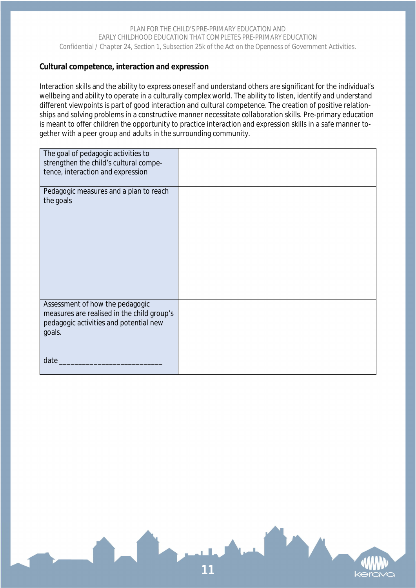### **Cultural competence, interaction and expression**

Interaction skills and the ability to express oneself and understand others are significant for the individual's wellbeing and ability to operate in a culturally complex world. The ability to listen, identify and understand different viewpoints is part of good interaction and cultural competence. The creation of positive relationships and solving problems in a constructive manner necessitate collaboration skills. Pre-primary education is meant to offer children the opportunity to practice interaction and expression skills in a safe manner together with a peer group and adults in the surrounding community.

| The goal of pedagogic activities to<br>strengthen the child's cultural compe- |  |
|-------------------------------------------------------------------------------|--|
| tence, interaction and expression                                             |  |
|                                                                               |  |
| Pedagogic measures and a plan to reach                                        |  |
| the goals                                                                     |  |
|                                                                               |  |
|                                                                               |  |
|                                                                               |  |
|                                                                               |  |
|                                                                               |  |
|                                                                               |  |
|                                                                               |  |
|                                                                               |  |
|                                                                               |  |
|                                                                               |  |
|                                                                               |  |
|                                                                               |  |
| Assessment of how the pedagogic                                               |  |
| measures are realised in the child group's                                    |  |
| pedagogic activities and potential new                                        |  |
| goals.                                                                        |  |
|                                                                               |  |
|                                                                               |  |
| date                                                                          |  |
|                                                                               |  |
|                                                                               |  |

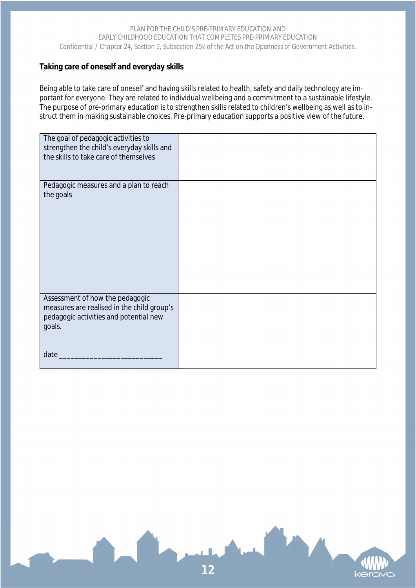## **Taking care of oneself and everyday skills**

Being able to take care of oneself and having skills related to health, safety and daily technology are important for everyone. They are related to individual wellbeing and a commitment to a sustainable lifestyle. The purpose of pre-primary education is to strengthen skills related to children's wellbeing as well as to instruct them in making sustainable choices. Pre-primary education supports a positive view of the future.

| The goal of pedagogic activities to        |  |
|--------------------------------------------|--|
| strengthen the child's everyday skills and |  |
| the skills to take care of themselves      |  |
|                                            |  |
|                                            |  |
| Pedagogic measures and a plan to reach     |  |
| the goals                                  |  |
|                                            |  |
|                                            |  |
|                                            |  |
|                                            |  |
|                                            |  |
|                                            |  |
|                                            |  |
|                                            |  |
|                                            |  |
|                                            |  |
| Assessment of how the pedagogic            |  |
| measures are realised in the child group's |  |
| pedagogic activities and potential new     |  |
| goals.                                     |  |
|                                            |  |
|                                            |  |
| date                                       |  |
|                                            |  |

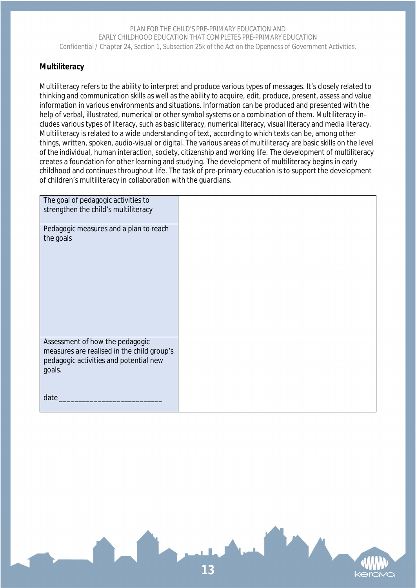### **Multiliteracy**

Multiliteracy refers to the ability to interpret and produce various types of messages. It's closely related to thinking and communication skills as well as the ability to acquire, edit, produce, present, assess and value information in various environments and situations. Information can be produced and presented with the help of verbal, illustrated, numerical or other symbol systems or a combination of them. Multiliteracy includes various types of literacy, such as basic literacy, numerical literacy, visual literacy and media literacy. Multiliteracy is related to a wide understanding of text, according to which texts can be, among other things, written, spoken, audio-visual or digital. The various areas of multiliteracy are basic skills on the level of the individual, human interaction, society, citizenship and working life. The development of multiliteracy creates a foundation for other learning and studying. The development of multiliteracy begins in early childhood and continues throughout life. The task of pre-primary education is to support the development of children's multiliteracy in collaboration with the guardians.

| The goal of pedagogic activities to<br>strengthen the child's multiliteracy                                                               |  |
|-------------------------------------------------------------------------------------------------------------------------------------------|--|
| Pedagogic measures and a plan to reach<br>the goals                                                                                       |  |
| Assessment of how the pedagogic<br>measures are realised in the child group's<br>pedagogic activities and potential new<br>goals.<br>date |  |

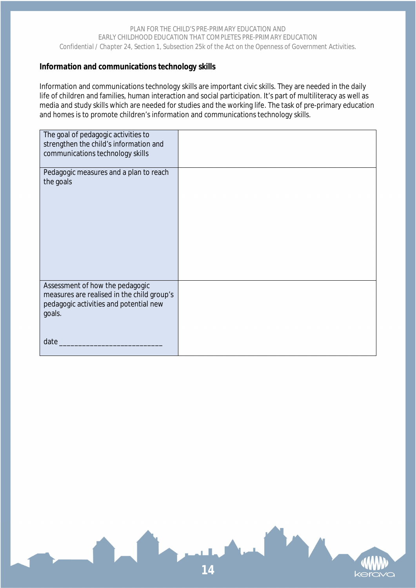### **Information and communications technology skills**

Information and communications technology skills are important civic skills. They are needed in the daily life of children and families, human interaction and social participation. It's part of multiliteracy as well as media and study skills which are needed for studies and the working life. The task of pre-primary education and homes is to promote children's information and communications technology skills.

| The goal of pedagogic activities to<br>strengthen the child's information and<br>communications technology skills                 |  |
|-----------------------------------------------------------------------------------------------------------------------------------|--|
| Pedagogic measures and a plan to reach<br>the goals                                                                               |  |
|                                                                                                                                   |  |
| Assessment of how the pedagogic<br>measures are realised in the child group's<br>pedagogic activities and potential new<br>goals. |  |
| date                                                                                                                              |  |

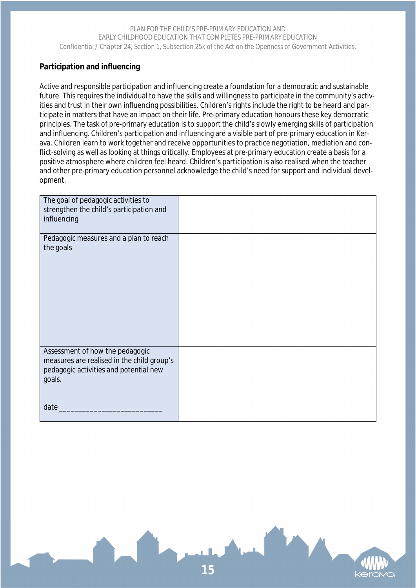# **Participation and influencing**

Active and responsible participation and influencing create a foundation for a democratic and sustainable future. This requires the individual to have the skills and willingness to participate in the community's activities and trust in their own influencing possibilities. Children's rights include the right to be heard and participate in matters that have an impact on their life. Pre-primary education honours these key democratic principles. The task of pre-primary education is to support the child's slowly emerging skills of participation and influencing. Children's participation and influencing are a visible part of pre-primary education in Kerava. Children learn to work together and receive opportunities to practice negotiation, mediation and conflict-solving as well as looking at things critically. Employees at pre-primary education create a basis for a positive atmosphere where children feel heard. Children's participation is also realised when the teacher and other pre-primary education personnel acknowledge the child's need for support and individual development.

| The goal of pedagogic activities to<br>strengthen the child's participation and<br>influencing                                            |  |
|-------------------------------------------------------------------------------------------------------------------------------------------|--|
| Pedagogic measures and a plan to reach<br>the goals                                                                                       |  |
| Assessment of how the pedagogic<br>measures are realised in the child group's<br>pedagogic activities and potential new<br>goals.<br>date |  |

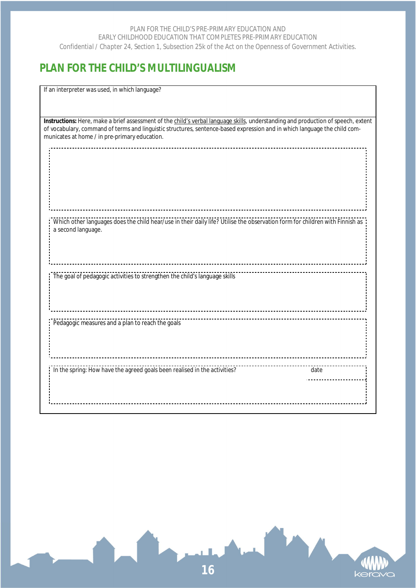# **PLAN FOR THE CHILD'S MULTILINGUALISM**

If an interpreter was used, in which language?

a second language.

**Instructions:** Here, make a brief assessment of the child's verbal language skills, understanding and production of speech, extent of vocabulary, command of terms and linguistic structures, sentence-based expression and in which language the child communicates at home / in pre-primary education.

Which other languages does the child hear/use in their daily life? Utilise the observation form for children with Finnish as

The goal of pedagogic activities to strengthen the child's language skills

Pedagogic measures and a plan to reach the goals

In the spring: How have the agreed goals been realised in the activities? date

. . . . . . . . . . . .

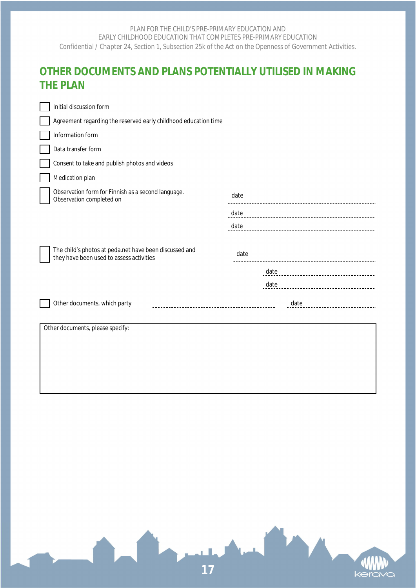# **OTHER DOCUMENTS AND PLANS POTENTIALLY UTILISED IN MAKING THE PLAN**

|                        | Initial discussion form                                                                            |      |      |
|------------------------|----------------------------------------------------------------------------------------------------|------|------|
|                        | Agreement regarding the reserved early childhood education time                                    |      |      |
|                        | Information form                                                                                   |      |      |
|                        | Data transfer form                                                                                 |      |      |
|                        | Consent to take and publish photos and videos                                                      |      |      |
|                        | Medication plan                                                                                    |      |      |
|                        | Observation form for Finnish as a second language.<br>Observation completed on                     | date |      |
|                        |                                                                                                    | date |      |
|                        |                                                                                                    | date |      |
|                        | The child's photos at peda.net have been discussed and<br>they have been used to assess activities | date |      |
|                        |                                                                                                    |      | date |
|                        |                                                                                                    |      | date |
|                        | Other documents, which party                                                                       |      | date |
| $\sim$ $\cdot$ $\cdot$ | $\cdot$ $\sim$                                                                                     |      |      |

Other documents, please specify: